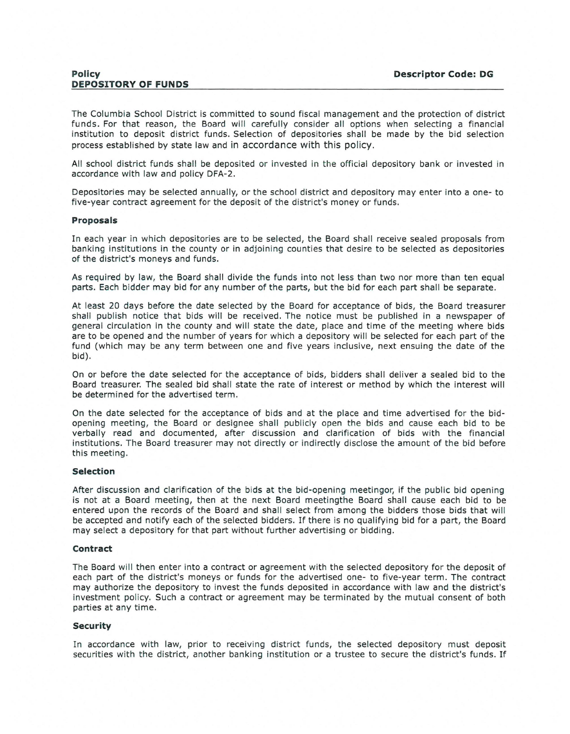The Columbia School District is committed to sound fiscal management and the protection of district funds. For that reason, the Board will carefully consider all options when selecting a financial institution to deposit district funds. Selection of depositories shall be made by the bid selection process established by state law and in accordance with this policy.

All school district funds shall be deposited or invested in the official depository bank or invested in accordance with law and policy DFA-2.

Depositories may be selected annually, or the school district and depository may enter into a one- to five-year contract agreement for the deposit of the district's money or funds.

## **Proposals**

In each year in which depositories are to be selected, the Board shall receive sealed proposals from banking institutions in the county or in adjoining counties that desire to be selected as depositories of the district's moneys and funds.

As required by law, the Board shall divide the funds into not less than two nor more than ten equal parts. Each bidder may bid for any number of the parts, but the bid for each part shall be separate.

At least 20 days before the date selected by the Board for acceptance of bids, the Board treasurer shall publish notice that bids will be received. The notice must be published in a newspaper of general circulation in the county and will state the date, place and time of the meeting where bids are to be opened and the number of years for which a depository will be selected for each part of the fund (which may be any term between one and five years inclusive, next ensuing the date of the bid).

On or before the date selected for the acceptance of bids, bidders shall deliver a sealed bid to the Board treasurer. The sealed bid shall state the rate of interest or method by which the interest will be determined for the advertised term .

On the date selected for the acceptance of bids and at the place and time advertised for the bidopening meeting, the Board or designee shall publicly open the bids and cause each bid to be verbally read and documented, after discussion and clarification of bids with the financial institutions. The Board treasurer may not directly or indirectly disclose the amount of the bid before this meeting.

## **Selection**

After discussion and clarification of the bids at the bid-opening meetingor, if the public bid opening is not at a Board meeting, then at the next Board meetingthe Board shall cause each bid to be entered upon the records of the Board and shall select from among the bidders those bids that will be accepted and notify each of the selected bidders. If there is no qualifying bid for a part, the Board may select a depository for that part without further advertising or bidding.

## **Contract**

The Board will then enter into a contract or agreement with the selected depository for the deposit of each part of the district's moneys or funds for the advertised one- to five-year term. The contract may authorize the depository to invest the funds deposited in accordance with law and the district's investment policy. Such a contract or agreement may be terminated by the mutual consent of both parties at any time.

## **Security**

In accordance with law, prior to receiving district funds, the selected depository must deposit securities with the district, another banking institution or a trustee to secure the district's funds. If